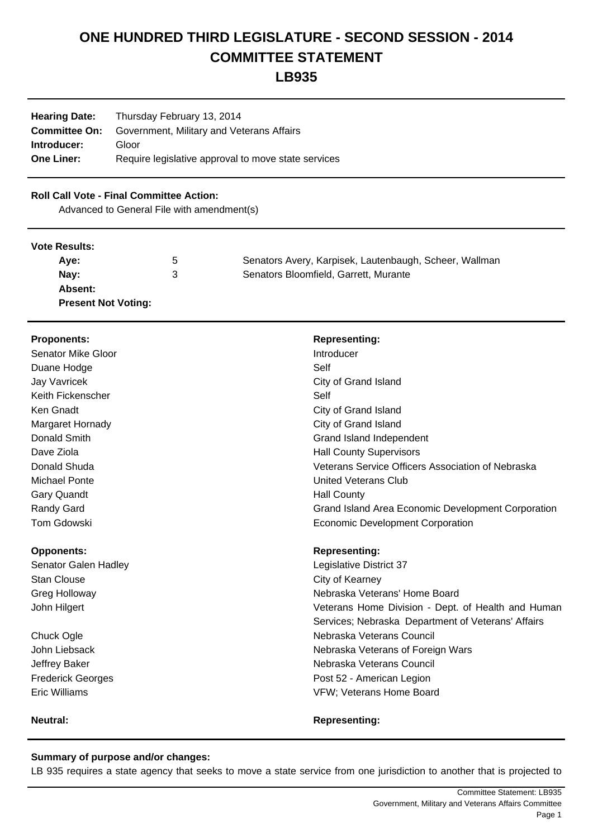# **ONE HUNDRED THIRD LEGISLATURE - SECOND SESSION - 2014 COMMITTEE STATEMENT**

## **LB935**

| <b>Hearing Date:</b> | Thursday February 13, 2014                          |  |  |
|----------------------|-----------------------------------------------------|--|--|
| <b>Committee On:</b> | Government, Military and Veterans Affairs           |  |  |
| Introducer:          | Gloor                                               |  |  |
| <b>One Liner:</b>    | Require legislative approval to move state services |  |  |
|                      |                                                     |  |  |

### **Roll Call Vote - Final Committee Action:**

Advanced to General File with amendment(s)

#### **Vote Results:**

| Ave:                       | ა | Senators Avery, Karpisek, Lautenbaugh, Scheer, Wallman |
|----------------------------|---|--------------------------------------------------------|
| Nav:                       | 3 | Senators Bloomfield, Garrett, Murante                  |
| Absent:                    |   |                                                        |
| <b>Present Not Voting:</b> |   |                                                        |

| <b>Proponents:</b>        | <b>Representing:</b>                               |
|---------------------------|----------------------------------------------------|
| <b>Senator Mike Gloor</b> | Introducer                                         |
| Duane Hodge               | Self                                               |
| Jay Vavricek              | City of Grand Island                               |
| Keith Fickenscher         | Self                                               |
| Ken Gnadt                 | City of Grand Island                               |
| Margaret Hornady          | City of Grand Island                               |
| Donald Smith              | Grand Island Independent                           |
| Dave Ziola                | <b>Hall County Supervisors</b>                     |
| Donald Shuda              | Veterans Service Officers Association of Nebraska  |
| <b>Michael Ponte</b>      | United Veterans Club                               |
| Gary Quandt               | <b>Hall County</b>                                 |
| Randy Gard                | Grand Island Area Economic Development Corporation |
| <b>Tom Gdowski</b>        | <b>Economic Development Corporation</b>            |
| <b>Opponents:</b>         | <b>Representing:</b>                               |
| Senator Galen Hadley      | Legislative District 37                            |
| <b>Stan Clouse</b>        | City of Kearney                                    |
| Greg Holloway             | Nebraska Veterans' Home Board                      |
| John Hilgert              | Veterans Home Division - Dept. of Health and Human |
|                           | Services; Nebraska Department of Veterans' Affairs |
| Chuck Ogle                | Nebraska Veterans Council                          |
| John Liebsack             | Nebraska Veterans of Foreign Wars                  |
| Jeffrey Baker             | Nebraska Veterans Council                          |
| <b>Frederick Georges</b>  | Post 52 - American Legion                          |
| <b>Eric Williams</b>      | VFW; Veterans Home Board                           |
|                           |                                                    |

#### **Neutral: Neutral: Representing: Representing:**

**Summary of purpose and/or changes:**

LB 935 requires a state agency that seeks to move a state service from one jurisdiction to another that is projected to